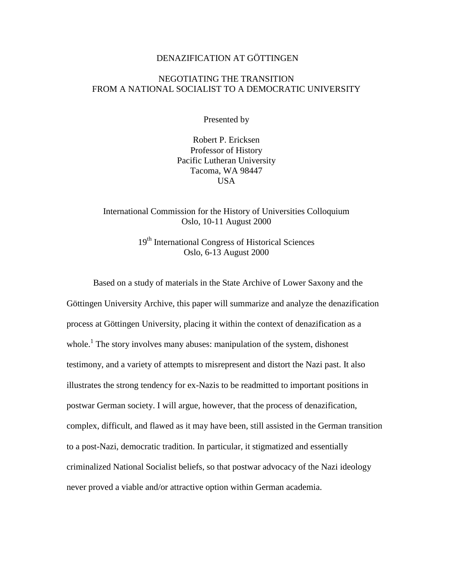## DENAZIFICATION AT GÖTTINGEN

## NEGOTIATING THE TRANSITION FROM A NATIONAL SOCIALIST TO A DEMOCRATIC UNIVERSITY

Presented by

Robert P. Ericksen Professor of History Pacific Lutheran University Tacoma, WA 98447 USA

International Commission for the History of Universities Colloquium Oslo, 10-11 August 2000

> 19th International Congress of Historical Sciences Oslo, 6-13 August 2000

Based on a study of materials in the State Archive of Lower Saxony and the Göttingen University Archive, this paper will summarize and analyze the denazification process at Göttingen University, placing it within the context of denazification as a whole.<sup>[1](#page-13-0)</sup> The story involves many abuses: manipulation of the system, dishonest testimony, and a variety of attempts to misrepresent and distort the Nazi past. It also illustrates the strong tendency for ex-Nazis to be readmitted to important positions in postwar German society. I will argue, however, that the process of denazification, complex, difficult, and flawed as it may have been, still assisted in the German transition to a post-Nazi, democratic tradition. In particular, it stigmatized and essentially criminalized National Socialist beliefs, so that postwar advocacy of the Nazi ideology never proved a viable and/or attractive option within German academia.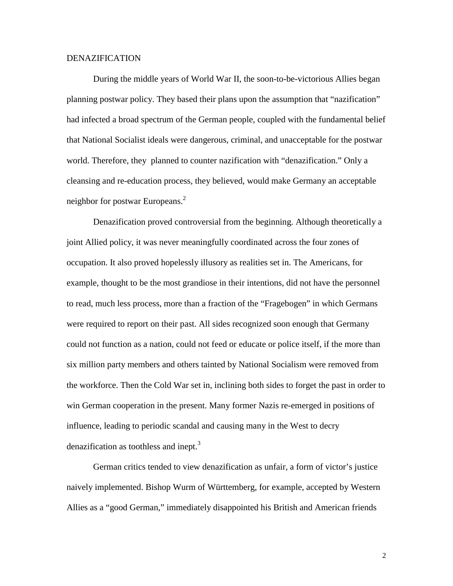## DENAZIFICATION

During the middle years of World War II, the soon-to-be-victorious Allies began planning postwar policy. They based their plans upon the assumption that "nazification" had infected a broad spectrum of the German people, coupled with the fundamental belief that National Socialist ideals were dangerous, criminal, and unacceptable for the postwar world. Therefore, they planned to counter nazification with "denazification." Only a cleansing and re-education process, they believed, would make Germany an acceptable neighbor for postwar Europeans.<sup>[2](#page-13-0)</sup>

Denazification proved controversial from the beginning. Although theoretically a joint Allied policy, it was never meaningfully coordinated across the four zones of occupation. It also proved hopelessly illusory as realities set in. The Americans, for example, thought to be the most grandiose in their intentions, did not have the personnel to read, much less process, more than a fraction of the "Fragebogen" in which Germans were required to report on their past. All sides recognized soon enough that Germany could not function as a nation, could not feed or educate or police itself, if the more than six million party members and others tainted by National Socialism were removed from the workforce. Then the Cold War set in, inclining both sides to forget the past in order to win German cooperation in the present. Many former Nazis re-emerged in positions of influence, leading to periodic scandal and causing many in the West to decry denazification as toothless and inept.<sup>[3](#page-13-0)</sup>

German critics tended to view denazification as unfair, a form of victor's justice naively implemented. Bishop Wurm of Württemberg, for example, accepted by Western Allies as a "good German," immediately disappointed his British and American friends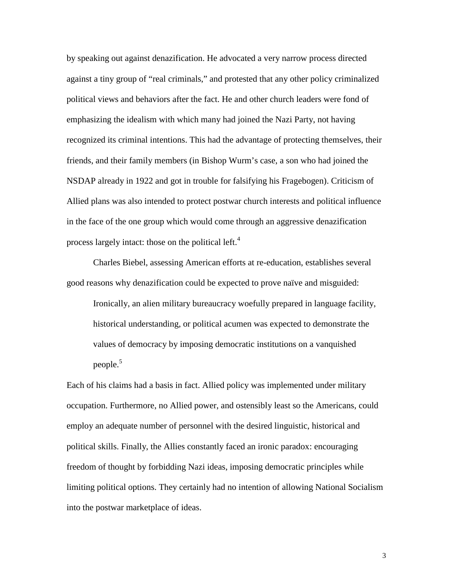by speaking out against denazification. He advocated a very narrow process directed against a tiny group of "real criminals," and protested that any other policy criminalized political views and behaviors after the fact. He and other church leaders were fond of emphasizing the idealism with which many had joined the Nazi Party, not having recognized its criminal intentions. This had the advantage of protecting themselves, their friends, and their family members (in Bishop Wurm's case, a son who had joined the NSDAP already in 1922 and got in trouble for falsifying his Fragebogen). Criticism of Allied plans was also intended to protect postwar church interests and political influence in the face of the one group which would come through an aggressive denazification process largely intact: those on the political left.<sup>[4](#page-13-0)</sup>

Charles Biebel, assessing American efforts at re-education, establishes several good reasons why denazification could be expected to prove naïve and misguided:

Ironically, an alien military bureaucracy woefully prepared in language facility, historical understanding, or political acumen was expected to demonstrate the values of democracy by imposing democratic institutions on a vanquished people.<sup>[5](#page-13-0)</sup>

Each of his claims had a basis in fact. Allied policy was implemented under military occupation. Furthermore, no Allied power, and ostensibly least so the Americans, could employ an adequate number of personnel with the desired linguistic, historical and political skills. Finally, the Allies constantly faced an ironic paradox: encouraging freedom of thought by forbidding Nazi ideas, imposing democratic principles while limiting political options. They certainly had no intention of allowing National Socialism into the postwar marketplace of ideas.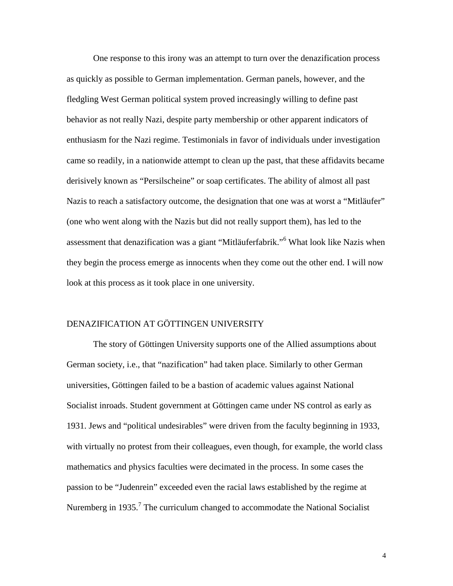One response to this irony was an attempt to turn over the denazification process as quickly as possible to German implementation. German panels, however, and the fledgling West German political system proved increasingly willing to define past behavior as not really Nazi, despite party membership or other apparent indicators of enthusiasm for the Nazi regime. Testimonials in favor of individuals under investigation came so readily, in a nationwide attempt to clean up the past, that these affidavits became derisively known as "Persilscheine" or soap certificates. The ability of almost all past Nazis to reach a satisfactory outcome, the designation that one was at worst a "Mitläufer" (one who went along with the Nazis but did not really support them), has led to the assessment that denazification was a giant "Mitläuferfabrik."<sup>[6](#page-13-0)</sup> What look like Nazis when they begin the process emerge as innocents when they come out the other end. I will now look at this process as it took place in one university.

## DENAZIFICATION AT GÖTTINGEN UNIVERSITY

The story of Göttingen University supports one of the Allied assumptions about German society, i.e., that "nazification" had taken place. Similarly to other German universities, Göttingen failed to be a bastion of academic values against National Socialist inroads. Student government at Göttingen came under NS control as early as 1931. Jews and "political undesirables" were driven from the faculty beginning in 1933, with virtually no protest from their colleagues, even though, for example, the world class mathematics and physics faculties were decimated in the process. In some cases the passion to be "Judenrein" exceeded even the racial laws established by the regime at Nuremberg in 1935.<sup>[7](#page-13-0)</sup> The curriculum changed to accommodate the National Socialist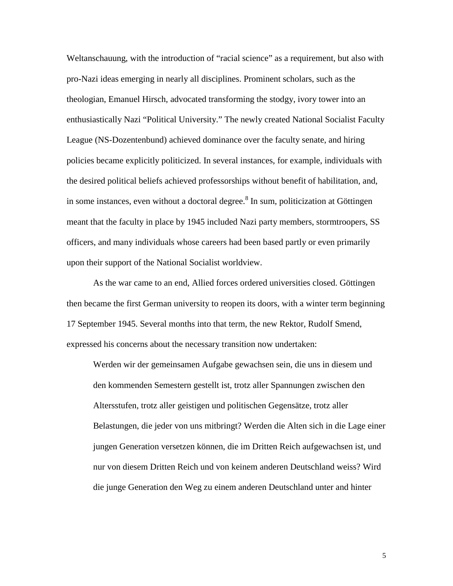Weltanschauung, with the introduction of "racial science" as a requirement, but also with pro-Nazi ideas emerging in nearly all disciplines. Prominent scholars, such as the theologian, Emanuel Hirsch, advocated transforming the stodgy, ivory tower into an enthusiastically Nazi "Political University." The newly created National Socialist Faculty League (NS-Dozentenbund) achieved dominance over the faculty senate, and hiring policies became explicitly politicized. In several instances, for example, individuals with the desired political beliefs achieved professorships without benefit of habilitation, and, in some instances, even without a doctoral degree.<sup>[8](#page-13-0)</sup> In sum, politicization at Göttingen meant that the faculty in place by 1945 included Nazi party members, stormtroopers, SS officers, and many individuals whose careers had been based partly or even primarily upon their support of the National Socialist worldview.

As the war came to an end, Allied forces ordered universities closed. Göttingen then became the first German university to reopen its doors, with a winter term beginning 17 September 1945. Several months into that term, the new Rektor, Rudolf Smend, expressed his concerns about the necessary transition now undertaken:

Werden wir der gemeinsamen Aufgabe gewachsen sein, die uns in diesem und den kommenden Semestern gestellt ist, trotz aller Spannungen zwischen den Altersstufen, trotz aller geistigen und politischen Gegensätze, trotz aller Belastungen, die jeder von uns mitbringt? Werden die Alten sich in die Lage einer jungen Generation versetzen können, die im Dritten Reich aufgewachsen ist, und nur von diesem Dritten Reich und von keinem anderen Deutschland weiss? Wird die junge Generation den Weg zu einem anderen Deutschland unter and hinter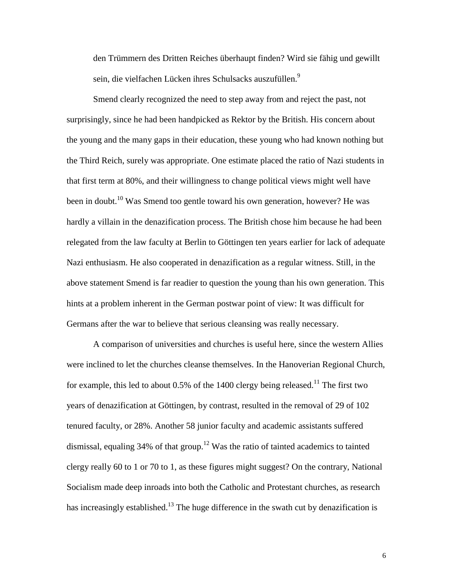den Trümmern des Dritten Reiches überhaupt finden? Wird sie fähig und gewillt sein, die vielfachen Lücken ihres Schulsacks auszufüllen.<sup>[9](#page-13-0)</sup>

Smend clearly recognized the need to step away from and reject the past, not surprisingly, since he had been handpicked as Rektor by the British. His concern about the young and the many gaps in their education, these young who had known nothing but the Third Reich, surely was appropriate. One estimate placed the ratio of Nazi students in that first term at 80%, and their willingness to change political views might well have been in doubt.<sup>10</sup> Was Smend too gentle toward his own generation, however? He was hardly a villain in the denazification process. The British chose him because he had been relegated from the law faculty at Berlin to Göttingen ten years earlier for lack of adequate Nazi enthusiasm. He also cooperated in denazification as a regular witness. Still, in the above statement Smend is far readier to question the young than his own generation. This hints at a problem inherent in the German postwar point of view: It was difficult for Germans after the war to believe that serious cleansing was really necessary.

A comparison of universities and churches is useful here, since the western Allies were inclined to let the churches cleanse themselves. In the Hanoverian Regional Church, for example, this led to about  $0.5\%$  of the 1400 clergy being released.<sup>11</sup> The first two years of denazification at Göttingen, by contrast, resulted in the removal of 29 of 102 tenured faculty, or 28%. Another 58 junior faculty and academic assistants suffered dismissal, equaling  $34\%$  of that group.<sup>12</sup> Was the ratio of tainted academics to tainted clergy really 60 to 1 or 70 to 1, as these figures might suggest? On the contrary, National Socialism made deep inroads into both the Catholic and Protestant churches, as research has increasingly established.<sup>13</sup> The huge difference in the swath cut by denazification is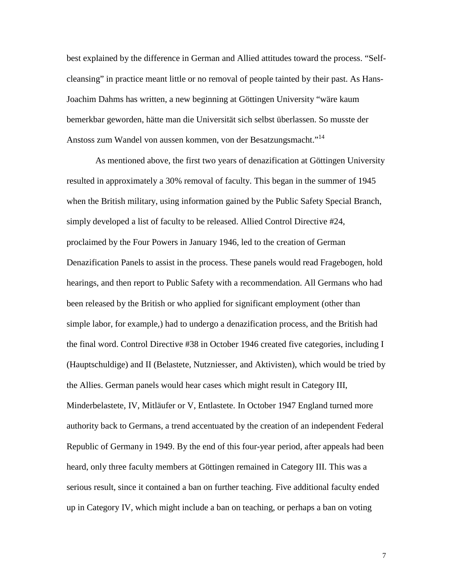best explained by the difference in German and Allied attitudes toward the process. "Selfcleansing" in practice meant little or no removal of people tainted by their past. As Hans-Joachim Dahms has written, a new beginning at Göttingen University "wäre kaum bemerkbar geworden, hätte man die Universität sich selbst überlassen. So musste der Anstoss zum Wandel von aussen kommen, von der Besatzungsmacht."[14](#page-13-0)

 As mentioned above, the first two years of denazification at Göttingen University resulted in approximately a 30% removal of faculty. This began in the summer of 1945 when the British military, using information gained by the Public Safety Special Branch, simply developed a list of faculty to be released. Allied Control Directive #24, proclaimed by the Four Powers in January 1946, led to the creation of German Denazification Panels to assist in the process. These panels would read Fragebogen, hold hearings, and then report to Public Safety with a recommendation. All Germans who had been released by the British or who applied for significant employment (other than simple labor, for example,) had to undergo a denazification process, and the British had the final word. Control Directive #38 in October 1946 created five categories, including I (Hauptschuldige) and II (Belastete, Nutzniesser, and Aktivisten), which would be tried by the Allies. German panels would hear cases which might result in Category III, Minderbelastete, IV, Mitläufer or V, Entlastete. In October 1947 England turned more authority back to Germans, a trend accentuated by the creation of an independent Federal Republic of Germany in 1949. By the end of this four-year period, after appeals had been heard, only three faculty members at Göttingen remained in Category III. This was a serious result, since it contained a ban on further teaching. Five additional faculty ended up in Category IV, which might include a ban on teaching, or perhaps a ban on voting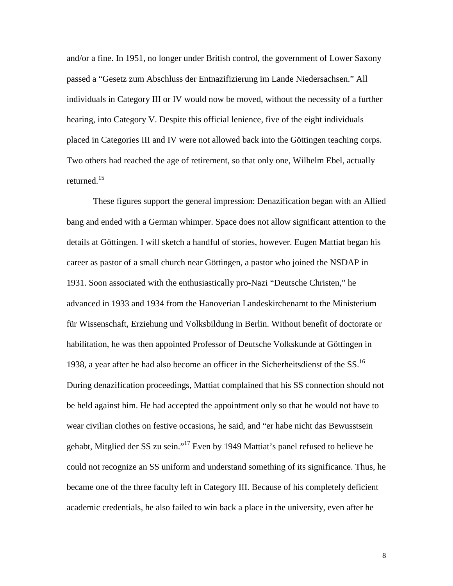and/or a fine. In 1951, no longer under British control, the government of Lower Saxony passed a "Gesetz zum Abschluss der Entnazifizierung im Lande Niedersachsen." All individuals in Category III or IV would now be moved, without the necessity of a further hearing, into Category V. Despite this official lenience, five of the eight individuals placed in Categories III and IV were not allowed back into the Göttingen teaching corps. Two others had reached the age of retirement, so that only one, Wilhelm Ebel, actually returned. $15$ 

These figures support the general impression: Denazification began with an Allied bang and ended with a German whimper. Space does not allow significant attention to the details at Göttingen. I will sketch a handful of stories, however. Eugen Mattiat began his career as pastor of a small church near Göttingen, a pastor who joined the NSDAP in 1931. Soon associated with the enthusiastically pro-Nazi "Deutsche Christen," he advanced in 1933 and 1934 from the Hanoverian Landeskirchenamt to the Ministerium für Wissenschaft, Erziehung und Volksbildung in Berlin. Without benefit of doctorate or habilitation, he was then appointed Professor of Deutsche Volkskunde at Göttingen in 1938, a year after he had also become an officer in the Sicherheitsdienst of the SS.[16](#page-13-0) During denazification proceedings, Mattiat complained that his SS connection should not be held against him. He had accepted the appointment only so that he would not have to wear civilian clothes on festive occasions, he said, and "er habe nicht das Bewusstsein gehabt, Mitglied der SS zu sein.["17](#page-13-0) Even by 1949 Mattiat's panel refused to believe he could not recognize an SS uniform and understand something of its significance. Thus, he became one of the three faculty left in Category III. Because of his completely deficient academic credentials, he also failed to win back a place in the university, even after he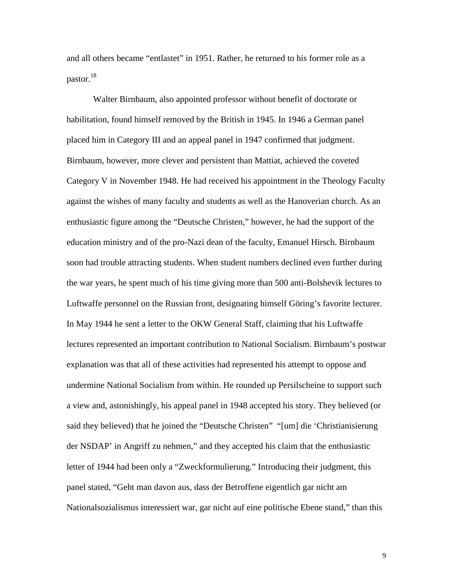and all others became "entlastet" in 1951. Rather, he returned to his former role as a pastor[.18](#page-13-0)

Walter Birnbaum, also appointed professor without benefit of doctorate or habilitation, found himself removed by the British in 1945. In 1946 a German panel placed him in Category III and an appeal panel in 1947 confirmed that judgment. Birnbaum, however, more clever and persistent than Mattiat, achieved the coveted Category V in November 1948. He had received his appointment in the Theology Faculty against the wishes of many faculty and students as well as the Hanoverian church. As an enthusiastic figure among the "Deutsche Christen," however, he had the support of the education ministry and of the pro-Nazi dean of the faculty, Emanuel Hirsch. Birnbaum soon had trouble attracting students. When student numbers declined even further during the war years, he spent much of his time giving more than 500 anti-Bolshevik lectures to Luftwaffe personnel on the Russian front, designating himself Göring's favorite lecturer. In May 1944 he sent a letter to the OKW General Staff, claiming that his Luftwaffe lectures represented an important contribution to National Socialism. Birnbaum's postwar explanation was that all of these activities had represented his attempt to oppose and undermine National Socialism from within. He rounded up Persilscheine to support such a view and, astonishingly, his appeal panel in 1948 accepted his story. They believed (or said they believed) that he joined the "Deutsche Christen" "[um] die 'Christianisierung der NSDAP' in Angriff zu nehmen," and they accepted his claim that the enthusiastic letter of 1944 had been only a "Zweckformulierung." Introducing their judgment, this panel stated, "Geht man davon aus, dass der Betroffene eigentlich gar nicht am Nationalsozialismus interessiert war, gar nicht auf eine politische Ebene stand," than this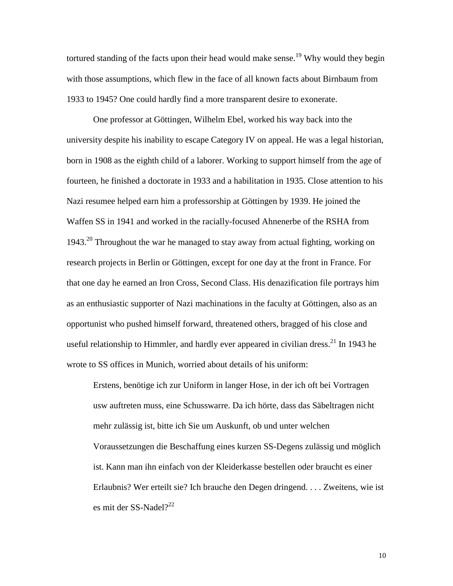tortured standing of the facts upon their head would make sense.<sup>19</sup> Why would they begin with those assumptions, which flew in the face of all known facts about Birnbaum from 1933 to 1945? One could hardly find a more transparent desire to exonerate.

One professor at Göttingen, Wilhelm Ebel, worked his way back into the university despite his inability to escape Category IV on appeal. He was a legal historian, born in 1908 as the eighth child of a laborer. Working to support himself from the age of fourteen, he finished a doctorate in 1933 and a habilitation in 1935. Close attention to his Nazi resumee helped earn him a professorship at Göttingen by 1939. He joined the Waffen SS in 1941 and worked in the racially-focused Ahnenerbe of the RSHA from 1943.[20](#page-13-0) Throughout the war he managed to stay away from actual fighting, working on research projects in Berlin or Göttingen, except for one day at the front in France. For that one day he earned an Iron Cross, Second Class. His denazification file portrays him as an enthusiastic supporter of Nazi machinations in the faculty at Göttingen, also as an opportunist who pushed himself forward, threatened others, bragged of his close and useful relationship to Himmler, and hardly ever appeared in civilian dress.<sup>21</sup> In 1943 he wrote to SS offices in Munich, worried about details of his uniform:

Erstens, benötige ich zur Uniform in langer Hose, in der ich oft bei Vortragen usw auftreten muss, eine Schusswarre. Da ich hörte, dass das Säbeltragen nicht mehr zulässig ist, bitte ich Sie um Auskunft, ob und unter welchen Voraussetzungen die Beschaffung eines kurzen SS-Degens zulässig und möglich ist. Kann man ihn einfach von der Kleiderkasse bestellen oder braucht es einer Erlaubnis? Wer erteilt sie? Ich brauche den Degen dringend. . . . Zweitens, wie ist es mit der SS-Nadel? $^{22}$  $^{22}$  $^{22}$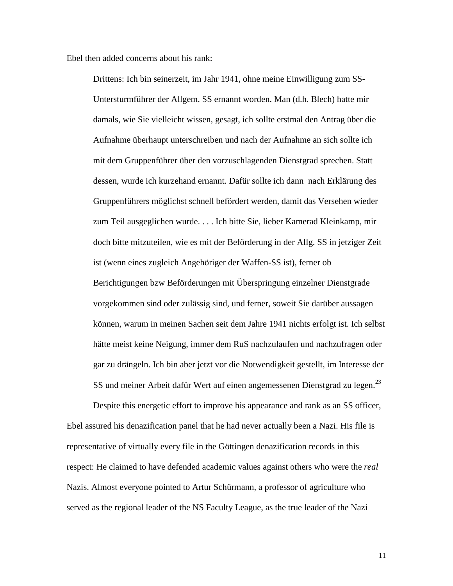Ebel then added concerns about his rank:

Drittens: Ich bin seinerzeit, im Jahr 1941, ohne meine Einwilligung zum SS-Untersturmführer der Allgem. SS ernannt worden. Man (d.h. Blech) hatte mir damals, wie Sie vielleicht wissen, gesagt, ich sollte erstmal den Antrag über die Aufnahme überhaupt unterschreiben und nach der Aufnahme an sich sollte ich mit dem Gruppenführer über den vorzuschlagenden Dienstgrad sprechen. Statt dessen, wurde ich kurzehand ernannt. Dafür sollte ich dann nach Erklärung des Gruppenführers möglichst schnell befördert werden, damit das Versehen wieder zum Teil ausgeglichen wurde. . . . Ich bitte Sie, lieber Kamerad Kleinkamp, mir doch bitte mitzuteilen, wie es mit der Beförderung in der Allg. SS in jetziger Zeit ist (wenn eines zugleich Angehöriger der Waffen-SS ist), ferner ob Berichtigungen bzw Beförderungen mit Überspringung einzelner Dienstgrade vorgekommen sind oder zulässig sind, und ferner, soweit Sie darüber aussagen können, warum in meinen Sachen seit dem Jahre 1941 nichts erfolgt ist. Ich selbst hätte meist keine Neigung, immer dem RuS nachzulaufen und nachzufragen oder gar zu drängeln. Ich bin aber jetzt vor die Notwendigkeit gestellt, im Interesse der SS und meiner Arbeit dafür Wert auf einen angemessenen Dienstgrad zu legen.<sup>[23](#page-13-0)</sup>

Despite this energetic effort to improve his appearance and rank as an SS officer, Ebel assured his denazification panel that he had never actually been a Nazi. His file is representative of virtually every file in the Göttingen denazification records in this respect: He claimed to have defended academic values against others who were the *real* Nazis. Almost everyone pointed to Artur Schürmann, a professor of agriculture who served as the regional leader of the NS Faculty League, as the true leader of the Nazi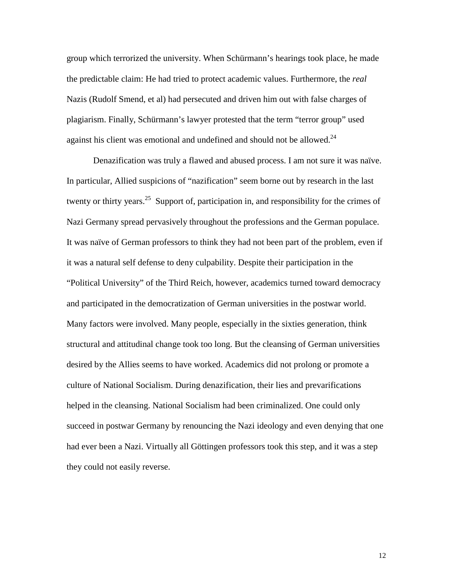group which terrorized the university. When Schürmann's hearings took place, he made the predictable claim: He had tried to protect academic values. Furthermore, the *real* Nazis (Rudolf Smend, et al) had persecuted and driven him out with false charges of plagiarism. Finally, Schürmann's lawyer protested that the term "terror group" used against his client was emotional and undefined and should not be allowed. $24$ 

Denazification was truly a flawed and abused process. I am not sure it was naïve. In particular, Allied suspicions of "nazification" seem borne out by research in the last twenty or thirty years.<sup>25</sup> Support of, participation in, and responsibility for the crimes of Nazi Germany spread pervasively throughout the professions and the German populace. It was naïve of German professors to think they had not been part of the problem, even if it was a natural self defense to deny culpability. Despite their participation in the "Political University" of the Third Reich, however, academics turned toward democracy and participated in the democratization of German universities in the postwar world. Many factors were involved. Many people, especially in the sixties generation, think structural and attitudinal change took too long. But the cleansing of German universities desired by the Allies seems to have worked. Academics did not prolong or promote a culture of National Socialism. During denazification, their lies and prevarifications helped in the cleansing. National Socialism had been criminalized. One could only succeed in postwar Germany by renouncing the Nazi ideology and even denying that one had ever been a Nazi. Virtually all Göttingen professors took this step, and it was a step they could not easily reverse.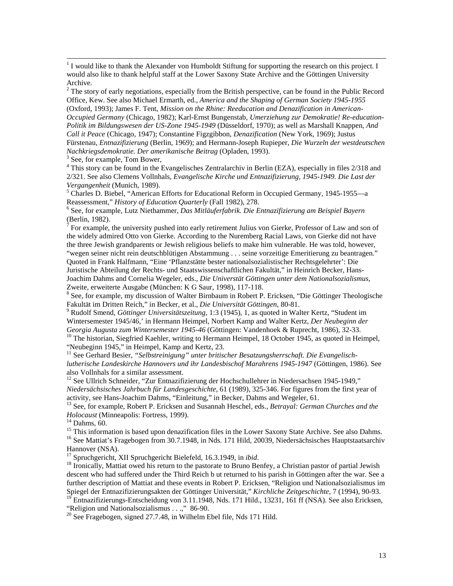$\frac{1}{1}$  $1$  I would like to thank the Alexander von Humboldt Stiftung for supporting the research on this project. I would also like to thank helpful staff at the Lower Saxony State Archive and the Göttingen University Archive.

 $2^2$  The story of early negotiations, especially from the British perspective, can be found in the Public Record Office, Kew. See also Michael Ermarth, ed., *America and the Shaping of German Society 1945-1955* (Oxford, 1993); James F. Tent, *Mission on the Rhine: Reeducation and Denazification in American-Occupied Germany* (Chicago, 1982); Karl-Ernst Bungenstab, *Umerziehung zur Demokratie! Re-education-Politik im Bildungswesen der US-Zone 1945-1949* (Düsseldorf, 1970); as well as Marshall Knappen, *And Call it Peace* (Chicago, 1947); Constantine Figzgibbon, *Denazification* (New York, 1969); Justus Fürstenau, *Entnazifizierung* (Berlin, 1969); and Hermann-Joseph Rupieper, *Die Wurzeln der westdeutschen Nachkriegsdemokratie. Der amerikanische Beitrag* (Opladen, 1993). <sup>3</sup>

 $3$  See, for example, Tom Bower,

<sup>4</sup> This story can be found in the Evangelisches Zentralarchiv in Berlin (EZA), especially in files 2/318 and 2/321. See also Clemens Vollnhals, *Evangelische Kirche und Entnazifizierung, 1945-1949. Die Last der Vergangenheit* (Munich, 1989). <sup>5</sup>

 Charles D. Biebel, "American Efforts for Educational Reform in Occupied Germany, 1945-1955—a Reassessment," *History of Education Quarterly* (Fall 1982), 278.

 See, for example, Lutz Niethammer, *Das Mitläuferfabrik. Die Entnazifizierung am Beispiel Bayern* (Berlin, 1982).

 $<sup>7</sup>$  For example, the university pushed into early retirement Julius von Gierke, Professor of Law and son of</sup> the widely admired Otto von Gierke. According to the Nuremberg Racial Laws, von Gierke did not have the three Jewish grandparents or Jewish religious beliefs to make him vulnerable. He was told, however, "wegen seiner nicht rein deutschblütigen Abstammung . . . seine vorzeitige Emeritierung zu beantragen." Quoted in Frank Halfmann, "Eine 'Pflanzstätte bester nationalsozialistischer Rechtsgelehrter': Die Juristische Abteilung der Rechts- und Staatswissenschaftlichen Fakultät," in Heinrich Becker, Hans-Joachim Dahms and Cornelia Wegeler, eds., *Die Universtät Göttingen unter dem Nationalsozialismus,* Zweite, erweiterte Ausgabe (München: K G Saur, 1998), 117-118.

<sup>8</sup> See, for example, my discussion of Walter Birnbaum in Robert P. Ericksen, "Die Göttinger Theologische Fakultät im Dritten Reich," in Becker, et al., *Die Universität Göttingen*, 80-81. <sup>9</sup>

 Rudolf Smend, *Göttinger Universitätszeitung*, 1:3 (1945), 1, as quoted in Walter Kertz, "Student im Wintersemester 1945/46,' in Hermann Heimpel, Norbert Kamp and Walter Kertz, *Der Neubeginn der Georgia Augusta zum Wintersemester 1945-46* (Göttingen: Vandenhoek & Ruprecht, 1986), 32-33.<br><sup>10</sup> The historian, Siegfried Kaehler, writing to Hermann Heimpel, 18 October 1945, as quoted in Heimpel,

"Neubeginn 1945," in Heimpel, Kamp and Kertz, 23.

<sup>11</sup> See Gerhard Besier, "Selbstreinigung" unter britischer Besatzungsherrschaft. Die Evangelisch*lutherische Landeskirche Hannovers und ihr Landesbischof Marahrens 1945-1947* (Göttingen, 1986). See also Vollnhals for a similar assessment.

<sup>12</sup> See Ullrich Schneider, "Zur Entnazifizierung der Hochschullehrer in Niedersachsen 1945-1949," *Niedersächsisches Jahrbuch für Landesgeschichte*, 61 (1989), 325-346. For figures from the first year of activity, see Hans-Joachim Dahms, "Einleitung," in Becker, Dahms and Wegeler, 61.

13 See, for example, Robert P. Ericksen and Susannah Heschel, eds., *Betrayal: German Churches and the Holocaust* (Minneapolis: Fortress, 1999). 14 Dahms, 60.

<sup>15</sup> This information is based upon denazification files in the Lower Saxony State Archive. See also Dahms. <sup>16</sup> See Mattiat's Fragebogen from 30.7.1948, in Nds. 171 Hild, 20039, Niedersächsisches Hauptstaatsarchiv Hannover (NSA).<br><sup>17</sup> Spruchgericht, XII Spruchgericht Bielefeld, 16.3.1949, in *ibid.* 

<sup>18</sup> Ironically, Mattiat owed his return to the pastorate to Bruno Benfey, a Christian pastor of partial Jewish descent who had suffered under the Third Reich b ut returned to his parish in Göttingen after the war. See a further description of Mattiat and these events in Robert P. Ericksen, "Religion und Nationalsozialismus im Spiegel der Entnazifizierungsakten der Göttinger Universität," *Kirchliche Zeitgeschichte*, 7 (1994), 90-93.

19 Entnazifizierungs-Entscheidung von 3.11.1948, Nds. 171 Hild., 13231, 161 ff (NSA). See also Ericksen, "Religion und Nationalsozialismus . . .," 86-90.

 $20$  See Fragebogen, signed 27.7.48, in Wilhelm Ebel file, Nds 171 Hild.